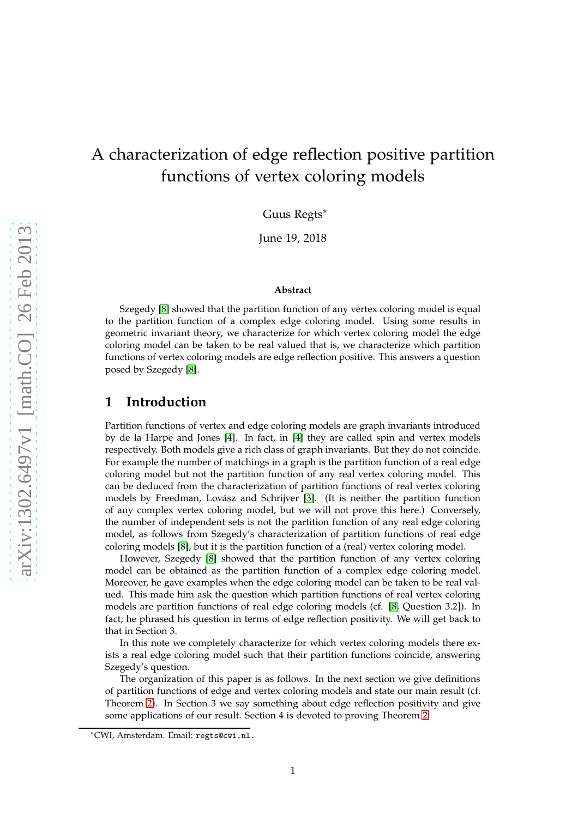# A characterization of edge reflection positive partition functions of vertex coloring models

Guus Regts<sup>∗</sup>

June 19, 2018

#### **Abstract**

Szegedy [\[8\]](#page-7-0) showed that the partition function of any vertex coloring model is equal to the partition function of a complex edge coloring model. Using some results in geometric invariant theory, we characterize for which vertex coloring model the edge coloring model can be taken to be real valued that is, we characterize which partition functions of vertex coloring models are edge reflection positive. This answers a question posed by Szegedy [\[8\]](#page-7-0).

### **1 Introduction**

Partition functions of vertex and edge coloring models are graph invariants introduced by de la Harpe and Jones [\[4\]](#page-7-1). In fact, in [\[4\]](#page-7-1) they are called spin and vertex models respectively. Both models give a rich class of graph invariants. But they do not coincide. For example the number of matchings in a graph is the partition function of a real edge coloring model but not the partition function of any real vertex coloring model. This can be deduced from the characterization of partition functions of real vertex coloring models by Freedman, Lovász and Schrijver [\[3\]](#page-7-2). (It is neither the partition function of any complex vertex coloring model, but we will not prove this here.) Conversely, the number of independent sets is not the partition function of any real edge coloring model, as follows from Szegedy's characterization of partition functions of real edge coloring models [\[8\]](#page-7-0), but it is the partition function of a (real) vertex coloring model.

However, Szegedy [\[8\]](#page-7-0) showed that the partition function of any vertex coloring model can be obtained as the partition function of a complex edge coloring model. Moreover, he gave examples when the edge coloring model can be taken to be real valued. This made him ask the question which partition functions of real vertex coloring models are partition functions of real edge coloring models (cf. [\[8,](#page-7-0) Question 3.2]). In fact, he phrased his question in terms of edge reflection positivity. We will get back to that in Section 3.

In this note we completely characterize for which vertex coloring models there exists a real edge coloring model such that their partition functions coincide, answering Szegedy's question.

The organization of this paper is as follows. In the next section we give definitions of partition functions of edge and vertex coloring models and state our main result (cf. Theorem [2\)](#page-2-0). In Section 3 we say something about edge reflection positivity and give some applications of our result. Section 4 is devoted to proving Theorem [2.](#page-2-0)

<sup>∗</sup>CWI, Amsterdam. Email: regts@cwi.nl.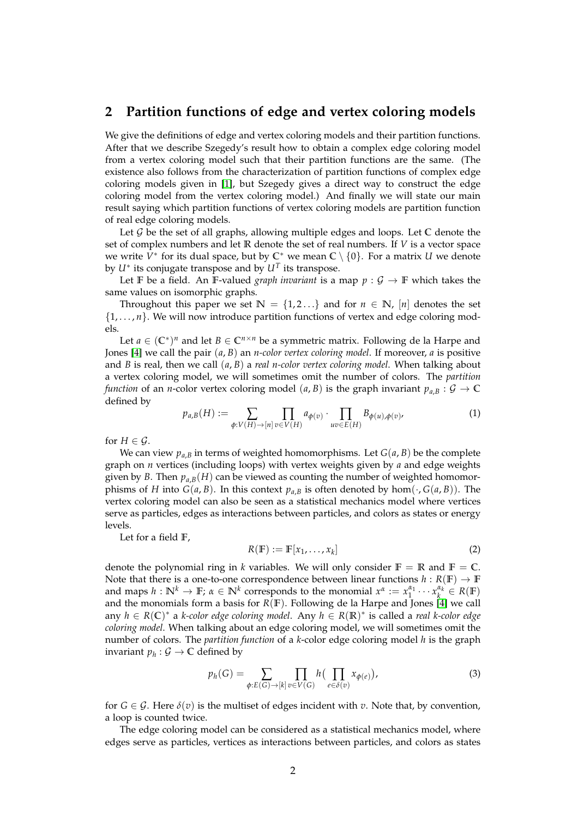### **2 Partition functions of edge and vertex coloring models**

We give the definitions of edge and vertex coloring models and their partition functions. After that we describe Szegedy's result how to obtain a complex edge coloring model from a vertex coloring model such that their partition functions are the same. (The existence also follows from the characterization of partition functions of complex edge coloring models given in [\[1\]](#page-7-3), but Szegedy gives a direct way to construct the edge coloring model from the vertex coloring model.) And finally we will state our main result saying which partition functions of vertex coloring models are partition function of real edge coloring models.

Let G be the set of all graphs, allowing multiple edges and loops. Let **C** denote the set of complex numbers and let **R** denote the set of real numbers. If *V* is a vector space we write  $\bar{V}^*$  for its dual space, but by  $\mathbb{C}^*$  we mean  $\mathbb{C} \setminus \{0\}$ . For a matrix *U* we denote by  $U^*$  its conjugate transpose and by  $U^T$  its transpose.

Let **F** be a field. An **F**-valued *graph invariant* is a map  $p : \mathcal{G} \to \mathbb{F}$  which takes the same values on isomorphic graphs.

Throughout this paper we set  $\mathbb{N} = \{1, 2, \ldots\}$  and for  $n \in \mathbb{N}$ ,  $[n]$  denotes the set  $\{1, \ldots, n\}$ . We will now introduce partition functions of vertex and edge coloring models.

Let  $a \in (\mathbb{C}^*)^n$  and let  $B \in \mathbb{C}^{n \times n}$  be a symmetric matrix. Following de la Harpe and Jones [\[4\]](#page-7-1) we call the pair (*a*, *B*) an *n-color vertex coloring model*. If moreover, *a* is positive and *B* is real, then we call (*a*, *B*) a *real n-color vertex coloring model*. When talking about a vertex coloring model, we will sometimes omit the number of colors. The *partition function* of an *n*-color vertex coloring model (*a*, *B*) is the graph invariant  $p_{a,B}: \mathcal{G} \to \mathbb{C}$ defined by

$$
p_{a,B}(H) := \sum_{\phi: V(H) \to [n]} \prod_{v \in V(H)} a_{\phi(v)} \cdot \prod_{uv \in E(H)} B_{\phi(u), \phi(v)} \tag{1}
$$

for  $H \in \mathcal{G}$ .

We can view  $p_{a,B}$  in terms of weighted homomorphisms. Let  $G(a, B)$  be the complete graph on *n* vertices (including loops) with vertex weights given by *a* and edge weights given by *B*. Then  $p_{a,B}(H)$  can be viewed as counting the number of weighted homomorphisms of *H* into  $G(a, B)$ . In this context  $p_{a,B}$  is often denoted by hom $(\cdot, G(a, B))$ . The vertex coloring model can also be seen as a statistical mechanics model where vertices serve as particles, edges as interactions between particles, and colors as states or energy levels.

Let for a field **F**,

$$
R(\mathbb{F}) := \mathbb{F}[x_1, \dots, x_k]
$$
 (2)

denote the polynomial ring in *k* variables. We will only consider  $\mathbb{F} = \mathbb{R}$  and  $\mathbb{F} = \mathbb{C}$ . Note that there is a one-to-one correspondence between linear functions  $h : R(\mathbb{F}) \to \mathbb{F}$ and maps  $h: \mathbb{N}^k \to \mathbb{F}$ ;  $\alpha \in \mathbb{N}^k$  corresponds to the monomial  $x^{\alpha} := x_1^{\alpha_1} \cdots x_k^{\alpha_k} \in R(\mathbb{F})$ and the monomials form a basis for *R*(**F**). Following de la Harpe and Jones [\[4\]](#page-7-1) we call any *h* ∈ *R*(**C**) <sup>∗</sup> a *k-color edge coloring model*. Any *h* ∈ *R*(**R**) ∗ is called a *real k-color edge coloring model*. When talking about an edge coloring model, we will sometimes omit the number of colors. The *partition function* of a *k*-color edge coloring model *h* is the graph invariant  $p_h: \mathcal{G} \to \mathbb{C}$  defined by

$$
p_h(G) = \sum_{\phi: E(G) \to [k]} \prod_{v \in V(G)} h\left(\prod_{e \in \delta(v)} x_{\phi(e)}\right),\tag{3}
$$

for  $G \in \mathcal{G}$ . Here  $\delta(v)$  is the multiset of edges incident with *v*. Note that, by convention, a loop is counted twice.

The edge coloring model can be considered as a statistical mechanics model, where edges serve as particles, vertices as interactions between particles, and colors as states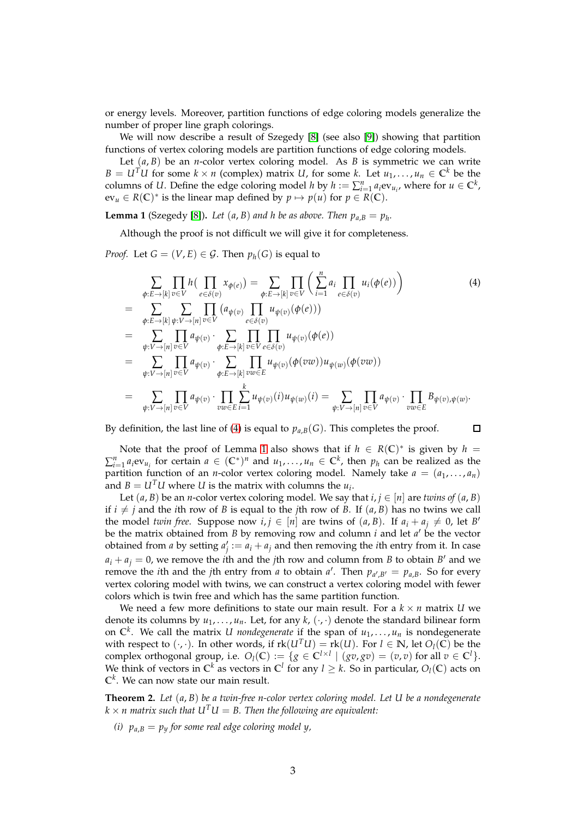or energy levels. Moreover, partition functions of edge coloring models generalize the number of proper line graph colorings.

We will now describe a result of Szegedy [\[8\]](#page-7-0) (see also [\[9\]](#page-7-4)) showing that partition functions of vertex coloring models are partition functions of edge coloring models.

Let  $(a, B)$  be an *n*-color vertex coloring model. As *B* is symmetric we can write *B* = *U*<sup>*T*</sup>*U* for some *k* × *n* (complex) matrix *U*, for some *k*. Let  $u_1, \ldots, u_n \in \mathbb{C}^k$  be the columns of *U*. Define the edge coloring model *h* by  $h := \sum_{i=1}^{n} a_i ev_{u_i}$ , where for  $u \in \mathbb{C}^k$ ,  $ev_u \in R(\mathbb{C})^*$  is the linear map defined by  $p \mapsto p(u)$  for  $p \in R(\mathbb{C})$ .

<span id="page-2-2"></span>**Lemma 1** (Szegedy [\[8\]](#page-7-0)). Let  $(a, B)$  and h be as above. Then  $p_{a,B} = p_h$ .

Although the proof is not difficult we will give it for completeness.

*Proof.* Let  $G = (V, E) \in \mathcal{G}$ . Then  $p_h(G)$  is equal to

<span id="page-2-1"></span>
$$
\sum_{\phi:E\to[k]} \prod_{v\in V} h\left(\prod_{e\in\delta(v)} x_{\phi(e)}\right) = \sum_{\phi:E\to[k]} \prod_{v\in V} \left(\sum_{i=1}^n a_i \prod_{e\in\delta(v)} u_i(\phi(e))\right)
$$
\n
$$
= \sum_{\phi:E\to[k]} \sum_{\psi:V\to[n]} \prod_{v\in V} (a_{\psi(v)} \prod_{e\in\delta(v)} u_{\psi(v)}(\phi(e)))
$$
\n
$$
= \sum_{\psi:V\to[n]} \prod_{v\in V} a_{\psi(v)} \cdot \sum_{\phi:E\to[k]} \prod_{v\in V} \prod_{e\in\delta(v)} u_{\psi(v)}(\phi(e))
$$
\n
$$
= \sum_{\psi:V\to[n]} \prod_{v\in V} a_{\psi(v)} \cdot \sum_{\phi:E\to[k]} \prod_{v\in E} u_{\psi(v)}(\phi(vw)) u_{\psi(w)}(\phi(vw))
$$
\n
$$
= \sum_{\psi:V\to[n]} \prod_{v\in V} a_{\psi(v)} \cdot \prod_{v\in E} \sum_{i=1}^k u_{\psi(v)}(i) u_{\psi(w)}(i) = \sum_{\psi:V\to[n]} \prod_{v\in V} a_{\psi(v)} \cdot \prod_{vw\in E} B_{\psi(v),\psi(w)}.
$$
\n(4)

By definition, the last line of [\(4\)](#page-2-1) is equal to  $p_{a,B}(G)$ . This completes the proof.

 $\Box$ 

Note that the proof of Lemma [1](#page-2-2) also shows that if  $h \in R(\mathbb{C})^*$  is given by  $h =$  $\sum_{i=1}^{n} a_i$ ev<sub>*u<sub>i</sub>*</sub> for certain  $a \in (\mathbb{C}^*)^n$  and  $u_1, \ldots, u_n \in \mathbb{C}^k$ , then  $p_h$  can be realized as the partition function of an *n*-color vertex coloring model. Namely take  $a = (a_1, \ldots, a_n)$ and  $B = U^T U$  where *U* is the matrix with columns the  $u_i$ .

Let  $(a, B)$  be an *n*-color vertex coloring model. We say that  $i, j \in [n]$  are *twins of*  $(a, B)$ if  $i \neq j$  and the *i*th row of *B* is equal to the *j*th row of *B*. If  $(a, B)$  has no twins we call the model *twin free*. Suppose now  $i, j \in [n]$  are twins of  $(a, B)$ . If  $a_i + a_j \neq 0$ , let *B*<sup>*'*</sup> be the matrix obtained from *B* by removing row and column *i* and let *a'* be the vector obtained from *a* by setting  $a'_j := a_i + a_j$  and then removing the *i*th entry from it. In case  $a_i + a_j = 0$ , we remove the *i*th and the *j*th row and column from *B* to obtain *B*<sup>'</sup> and we remove the *i*th and the *j*th entry from *a* to obtain *a'*. Then  $p_{a',B'} = p_{a,B}$ . So for every vertex coloring model with twins, we can construct a vertex coloring model with fewer colors which is twin free and which has the same partition function.

We need a few more definitions to state our main result. For a  $k \times n$  matrix *U* we denote its columns by  $u_1, \ldots, u_n$ . Let, for any  $k$ ,  $(\cdot, \cdot)$  denote the standard bilinear form on  $\mathbb{C}^k$ . We call the matrix *U* nondegenerate if the span of  $u_1, \ldots, u_n$  is nondegenerate with respect to  $(\cdot, \cdot)$ . In other words, if  $rk(U^TU) = rk(U)$ . For  $l \in \mathbb{N}$ , let  $O_l(\overline{\mathbb{C}})$  be the complex orthogonal group, i.e.  $O_l(\mathbb{C}) := \{ g \in \mathbb{C}^{l \times l} \mid (gv, gv) = (v, v) \text{ for all } v \in \mathbb{C}^l \}.$ We think of vectors in  $\mathbb{C}^k$  as vectors in  $\mathbb{C}^l$  for any  $l \geq k$ . So in particular,  $O_l(\mathbb{C})$  acts on **C** *k* . We can now state our main result.

<span id="page-2-0"></span>**Theorem 2.** *Let* (*a*, *B*) *be a twin-free n-color vertex coloring model. Let U be a nondegenerate*  $k \times n$  matrix such that  $U<sup>T</sup>U = B$ . Then the following are equivalent:

*(i)*  $p_{a,B} = p_y$  *for some real edge coloring model y,*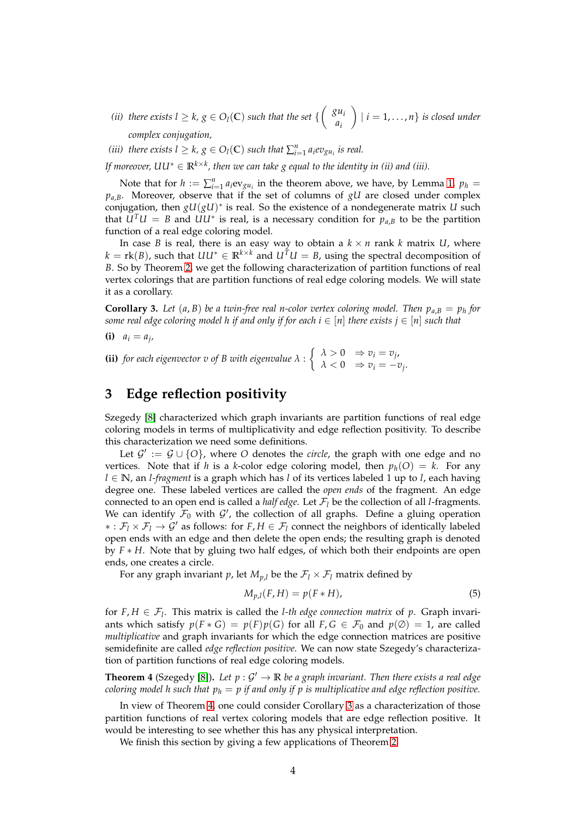- (*ii*) there exists  $l \geq k$ ,  $g \in O_l(\mathbb{C})$  such that the set  $\left\{ \begin{pmatrix} g u_i \\ g_j \end{pmatrix} \right\}$ *ai*  $\bigg\}$  |  $i = 1, \ldots, n$  } is closed under *complex conjugation,*
- (*iii*) there exists  $l \geq k$ ,  $g \in O_l(\mathbb{C})$  such that  $\sum_{i=1}^n a_i e v_{gu_i}$  is real.

*If moreover, UU*<sup>∗</sup> ∈ **R***k*×*<sup>k</sup> , then we can take g equal to the identity in (ii) and (iii).*

Note that for  $h := \sum_{i=1}^{n} a_i ev_{gu_i}$  in the theorem above, we have, by Lemma [1,](#page-2-2)  $p_h =$  $p_{a,B}$ . Moreover, observe that if the set of columns of *gU* are closed under complex conjugation, then  $gU(gU)^*$  is real. So the existence of a nondegenerate matrix *U* such that  $\hat{U}^T U = B$  and  $UU^*$  is real, is a necessary condition for  $p_{a,B}$  to be the partition function of a real edge coloring model.

In case *B* is real, there is an easy way to obtain a  $k \times n$  rank *k* matrix *U*, where  $k = \text{rk}(B)$ , such that  $UU^* \in \mathbb{R}^{k \times k}$  and  $U^T U = B$ , using the spectral decomposition of *B*. So by Theorem [2,](#page-2-0) we get the following characterization of partition functions of real vertex colorings that are partition functions of real edge coloring models. We will state it as a corollary.

<span id="page-3-1"></span>**Corollary 3.** Let  $(a, B)$  be a twin-free real n-color vertex coloring model. Then  $p_{a,B} = p_h$  for *some real edge coloring model h if and only if for each*  $i \in [n]$  *there exists*  $j \in [n]$  *such that* 

**(i)**  $a_i = a_j$ 

**(ii)** *for each eigenvector v of B with eigenvalue*  $\lambda$  :  $\begin{cases} \lambda > 0 & \Rightarrow v_i = v_j, \\ \lambda > 0 & \Rightarrow x_i = v_j. \end{cases}$  $\lambda < 0 \Rightarrow v_i = -v_j.$ 

## **3 Edge reflection positivity**

Szegedy [\[8\]](#page-7-0) characterized which graph invariants are partition functions of real edge coloring models in terms of multiplicativity and edge reflection positivity. To describe this characterization we need some definitions.

Let  $\mathcal{G}' := \mathcal{G} \cup \{O\}$ , where *O* denotes the *circle*, the graph with one edge and no vertices. Note that if *h* is a *k*-color edge coloring model, then  $p_h(O) = k$ . For any *l* ∈ **N**, an *l-fragment* is a graph which has *l* of its vertices labeled 1 up to *l*, each having degree one. These labeled vertices are called the *open ends* of the fragment. An edge connected to an open end is called a *half edge*. Let  $\mathcal{F}_l$  be the collection of all *l*-fragments. We can identify  $\mathcal{F}_0$  with  $\mathcal{G}'$ , the collection of all graphs. Define a gluing operation ∗ : F*<sup>l</sup>* × F*<sup>l</sup>* → G′ as follows: for *F*, *H* ∈ F*<sup>l</sup>* connect the neighbors of identically labeled open ends with an edge and then delete the open ends; the resulting graph is denoted by *F* ∗ *H*. Note that by gluing two half edges, of which both their endpoints are open ends, one creates a circle.

For any graph invariant *p*, let  $M_{p,l}$  be the  $\mathcal{F}_l \times \mathcal{F}_l$  matrix defined by

$$
M_{p,l}(F,H) = p(F \ast H),\tag{5}
$$

for  $F, H \in \mathcal{F}_l$ . This matrix is called the *l*-th edge connection matrix of  $p$ . Graph invariants which satisfy  $p(F * G) = p(F)p(G)$  for all  $F, G \in \mathcal{F}_0$  and  $p(\emptyset) = 1$ , are called *multiplicative* and graph invariants for which the edge connection matrices are positive semidefinite are called *edge reflection positive*. We can now state Szegedy's characterization of partition functions of real edge coloring models.

<span id="page-3-0"></span>**Theorem 4** (Szegedy [\[8\]](#page-7-0)). Let  $p: \mathcal{G}' \to \mathbb{R}$  be a graph invariant. Then there exists a real edge *coloring model h such that p<sup>h</sup>* = *p if and only if p is multiplicative and edge reflection positive.*

In view of Theorem [4,](#page-3-0) one could consider Corollary [3](#page-3-1) as a characterization of those partition functions of real vertex coloring models that are edge reflection positive. It would be interesting to see whether this has any physical interpretation.

We finish this section by giving a few applications of Theorem [2.](#page-2-0)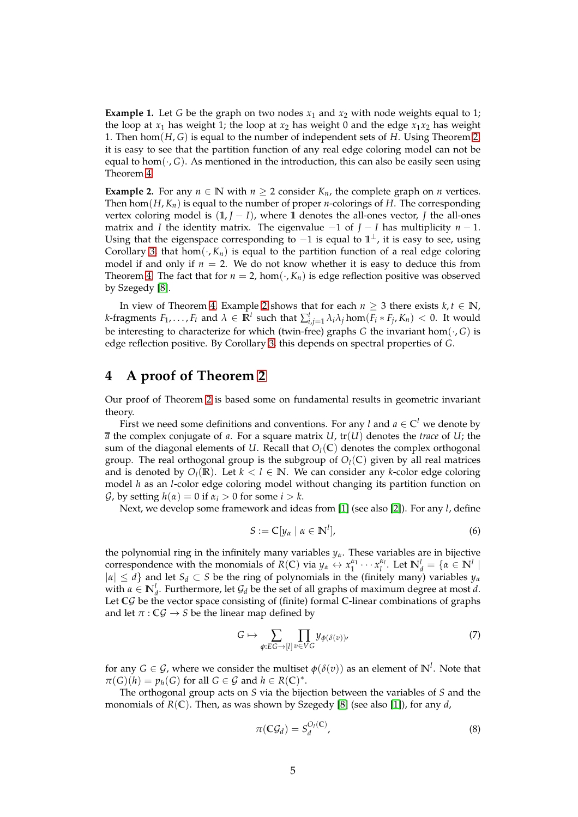**Example 1.** Let *G* be the graph on two nodes  $x_1$  and  $x_2$  with node weights equal to 1; the loop at  $x_1$  has weight 1; the loop at  $x_2$  has weight 0 and the edge  $x_1x_2$  has weight 1. Then hom(*H*, *G*) is equal to the number of independent sets of *H*. Using Theorem [2,](#page-2-0) it is easy to see that the partition function of any real edge coloring model can not be equal to hom( $\cdot$ , *G*). As mentioned in the introduction, this can also be easily seen using Theorem [4.](#page-3-0)

<span id="page-4-0"></span>**Example 2.** For any  $n \in \mathbb{N}$  with  $n \geq 2$  consider  $K_n$ , the complete graph on *n* vertices. Then hom $(H, K_n)$  is equal to the number of proper *n*-colorings of *H*. The corresponding vertex coloring model is  $(1, J - I)$ , where 1 denotes the all-ones vector, *J* the all-ones matrix and *I* the identity matrix. The eigenvalue  $-1$  of  $J - I$  has multiplicity  $n - 1$ . Using that the eigenspace corresponding to -1 is equal to  $1^{\perp}$ , it is easy to see, using Corollary [3,](#page-3-1) that hom $(\cdot, K_n)$  is equal to the partition function of a real edge coloring model if and only if  $n = 2$ . We do not know whether it is easy to deduce this from Theorem [4.](#page-3-0) The fact that for  $n = 2$ , hom $(\cdot, K_n)$  is edge reflection positive was observed by Szegedy [\[8\]](#page-7-0).

In view of Theorem [4,](#page-3-0) Example [2](#page-4-0) shows that for each *n* ≥ 3 there exists *k*, *t* ∈ **N**, *k*-fragments  $F_1,\ldots,F_t$  and  $\lambda \in \mathbb{R}^t$  such that  $\sum_{i,j=1}^t \lambda_i \lambda_j$  hom $(F_i * F_j, K_n) < 0$ . It would be interesting to characterize for which (twin-free) graphs *G* the invariant hom $(\cdot, G)$  is edge reflection positive. By Corollary [3,](#page-3-1) this depends on spectral properties of *G*.

### **4 A proof of Theorem [2](#page-2-0)**

Our proof of Theorem [2](#page-2-0) is based some on fundamental results in geometric invariant theory.

First we need some definitions and conventions. For any l and  $a \in \mathbb{C}^l$  we denote by  $\overline{a}$  the complex conjugate of *a*. For a square matrix *U*, tr(*U*) denotes the *trace* of *U*; the sum of the diagonal elements of  $U$ . Recall that  $O_l(\mathbb{C})$  denotes the complex orthogonal group. The real orthogonal group is the subgroup of  $O_l(\mathbb{C})$  given by all real matrices and is denoted by  $O_l(\mathbb{R})$ . Let  $k < l \in \mathbb{N}$ . We can consider any *k*-color edge coloring model *h* as an *l*-color edge coloring model without changing its partition function on *G*, by setting  $h(\alpha) = 0$  if  $\alpha_i > 0$  for some  $i > k$ .

Next, we develop some framework and ideas from [\[1\]](#page-7-3) (see also [\[2\]](#page-7-5)). For any *l*, define

$$
S := \mathbb{C}[y_{\alpha} \mid \alpha \in \mathbb{N}^{l}], \tag{6}
$$

the polynomial ring in the infinitely many variables *yα*. These variables are in bijective correspondence with the monomials of *R*(**C**) via  $y_\alpha \leftrightarrow x_1^{\alpha_1} \cdots x_l^{\alpha_l}$ . Let  $\mathbb{N}_d^l = {\alpha \in \mathbb{N}^l \mid \alpha_l^l \in \mathbb{N}^l}$  $|a| \le d$ } and let  $S_d \subset S$  be the ring of polynomials in the (finitely many) variables  $y_\alpha$ <sup>*a*</sup> with  $\alpha \in \mathbb{N}_d^l$ . Furthermore, let  $\mathcal{G}_d$  be the set of all graphs of maximum degree at most *d*. Let **C**G be the vector space consisting of (finite) formal **C**-linear combinations of graphs and let  $\pi$  :  $\mathbb{C}\mathcal{G} \to S$  be the linear map defined by

$$
G \mapsto \sum_{\phi:EG \to [l]} \prod_{v \in VG} y_{\phi(\delta(v))},\tag{7}
$$

for any  $G \in \mathcal{G}$ , where we consider the multiset  $\phi(\delta(v))$  as an element of  $\mathbb{N}^l$ . Note that  $\pi(G)(h) = p_h(G)$  for all  $G \in \mathcal{G}$  and  $h \in R(\mathbb{C})^*$ .

The orthogonal group acts on *S* via the bijection between the variables of *S* and the monomials of *R*(**C**). Then, as was shown by Szegedy [\[8\]](#page-7-0) (see also [\[1\]](#page-7-3)), for any *d*,

<span id="page-4-1"></span>
$$
\pi(\mathbb{C}\mathcal{G}_d) = S_d^{\mathcal{O}_l(\mathbb{C})},\tag{8}
$$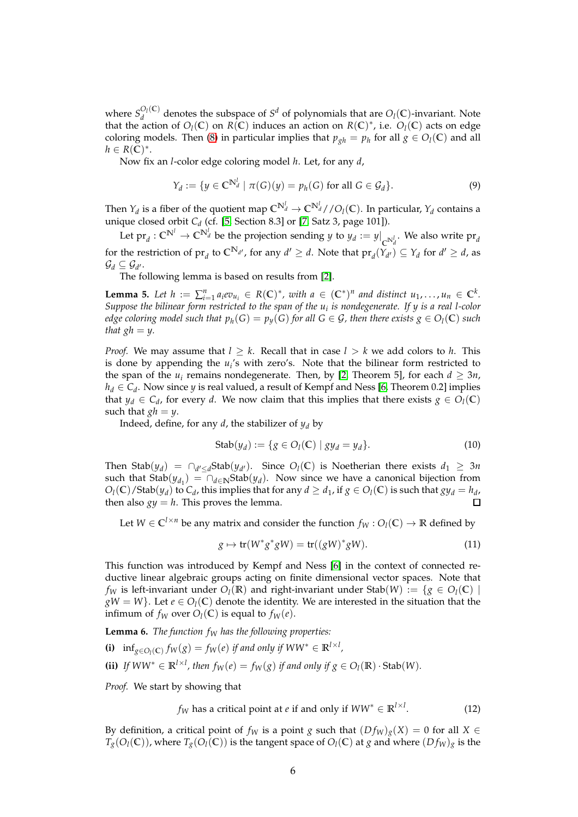where  $S_d^{O_l(\mathbb{C})}$  $O_l(C)$  denotes the subspace of *S<sup>d</sup>* of polynomials that are  $O_l(C)$ -invariant. Note that the action of  $O_l(\mathbb{C})$  on  $R(\mathbb{C})$  induces an action on  $R(\mathbb{C})^*$ , i.e.  $O_l(\mathbb{C})$  acts on edge coloring models. Then [\(8\)](#page-4-1) in particular implies that  $p_{gh} = p_h$  for all  $g \in O_l(\mathbb{C})$  and all  $h \in R(\overline{\mathbb{C}})^*$ .

Now fix an *l*-color edge coloring model *h*. Let, for any *d*,

$$
Y_d := \{ y \in \mathbb{C}^{N_d^l} \mid \pi(G)(y) = p_h(G) \text{ for all } G \in \mathcal{G}_d \}. \tag{9}
$$

Then  $Y_d$  is a fiber of the quotient map  $\mathbb{C}^{N_d^l} \to \mathbb{C}^{N_d^l} / / O_l(\mathbb{C})$ . In particular,  $Y_d$  contains a unique closed orbit *C<sup>d</sup>* (cf. [\[5,](#page-7-6) Section 8.3] or [\[7,](#page-7-7) Satz 3, page 101]).

Let  $\mathrm{pr}_d : \mathbb{C}^{\mathbb{N}^l} \to \mathbb{C}^{\mathbb{N}^l_d}$  be the projection sending  $y$  to  $y_d := y|_{\mathbb{C}^{\mathbb{N}^l_d}}$ . We also write  $\mathrm{pr}_d$ for the restriction of  $pr_d$  to  $\mathbb{C}^{N_{d'}}$ , for any  $d' \geq d$ . Note that  $pr_d(Y_{d'}) \subseteq Y_d$  for  $d' \geq d$ , as  $\mathcal{G}_d \subseteq \mathcal{G}_{d'}.$ 

The following lemma is based on results from [\[2\]](#page-7-5).

<span id="page-5-1"></span>**Lemma 5.** Let  $h := \sum_{i=1}^n a_i ev_{u_i} \in R(\mathbb{C})^*$ , with  $a \in (\mathbb{C}^*)^n$  and distinct  $u_1, \ldots, u_n \in \mathbb{C}^k$ . *Suppose the bilinear form restricted to the span of the u<sup>i</sup> is nondegenerate. If y is a real l-color edge coloring model such that*  $p_h(G) = p_y(G)$  *for all*  $G \in \mathcal{G}$ *, then there exists*  $g \in O_l(\mathbb{C})$  *such that*  $gh = y$ .

*Proof.* We may assume that  $l \geq k$ . Recall that in case  $l > k$  we add colors to *h*. This is done by appending the *u<sup>i</sup>* 's with zero's. Note that the bilinear form restricted to the span of the  $u_i$  remains nondegenerate. Then, by [\[2,](#page-7-5) Theorem 5], for each  $d \geq 3n$ ,  $h_d \in C_d$ . Now since *y* is real valued, a result of Kempf and Ness [\[6,](#page-7-8) Theorem 0.2] implies that  $y_d \in C_d$ , for every *d*. We now claim that this implies that there exists  $g \in O_l(\mathbb{C})$ such that  $gh = y$ .

Indeed, define, for any *d*, the stabilizer of  $y_d$  by

Stab
$$
(y_d) := \{ g \in O_l(\mathbb{C}) \mid gy_d = y_d \}.
$$
 (10)

Then Stab $(y_d)$  =  $\bigcap_{d' \leq d}$ Stab $(y_{d'})$ . Since  $O_l(\mathbb{C})$  is Noetherian there exists  $d_1 \geq 3n$ such that  $\text{Stab}(y_{d_1}) = \bigcap_{d \in \mathbb{N}} \text{Stab}(y_d)$ . Now since we have a canonical bijection from  $O_l(\mathbb{C})$  / Stab $(y_d)$  to  $C_d$ , this implies that for any  $d \geq d_1$ , if  $g \in O_l(\mathbb{C})$  is such that  $gy_d = h_d$ , then also  $gy = h$ . This proves the lemma.  $\Box$ 

Let  $W \in \mathbb{C}^{l \times n}$  be any matrix and consider the function  $f_W : O_l(\mathbb{C}) \to \mathbb{R}$  defined by

$$
g \mapsto \operatorname{tr}(W^*g^*gW) = \operatorname{tr}((gW)^*gW). \tag{11}
$$

This function was introduced by Kempf and Ness [\[6\]](#page-7-8) in the context of connected reductive linear algebraic groups acting on finite dimensional vector spaces. Note that *f<sub>W</sub>* is left-invariant under  $O_l(\mathbb{R})$  and right-invariant under Stab $(W) := \{g \in O_l(\mathbb{C}) \mid \mathbb{R}^d\}$  $gW = W$ }. Let  $e \in O_l(\mathbb{C})$  denote the identity. We are interested in the situation that the infimum of  $f_W$  over  $O_l(\mathbb{C})$  is equal to  $f_W(e)$ .

<span id="page-5-2"></span>**Lemma 6.** *The function f<sup>W</sup> has the following properties:*

- **(i)**  $\inf_{g \in O_l(C)} f_W(g) = f_W(e)$  *if and only if*  $WW^* \in \mathbb{R}^{l \times l}$ ,
- **(ii)** *If*  $WW^* \in \mathbb{R}^{l \times l}$ , then  $f_W(e) = f_W(g)$  *if and only if*  $g \in O_l(\mathbb{R}) \cdot \text{Stab}(W)$ *.*

*Proof.* We start by showing that

<span id="page-5-0"></span>
$$
f_W
$$
 has a critical point at *e* if and only if  $WW^* \in \mathbb{R}^{l \times l}$ . (12)

By definition, a critical point of  $f_W$  is a point *g* such that  $(Df_W)_g(X) = 0$  for all  $X \in$  $T_g(O_l(\mathbb{C}))$ , where  $T_g(O_l(\mathbb{C}))$  is the tangent space of  $O_l(\mathbb{C})$  at *g* and where  $(Df_W)_g$  is the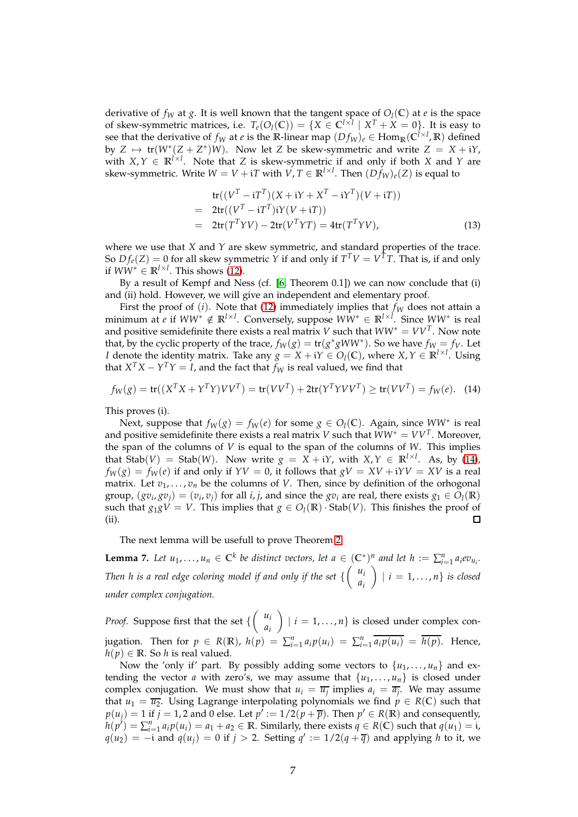derivative of  $f_W$  at  $g$ . It is well known that the tangent space of  $O_l(\mathbb{C})$  at  $e$  is the space of skew-symmetric matrices, i.e.  $T_e(O_l(\mathbb{C})) = \{X \in \mathbb{C}^{l \times l} \mid X^T + X = 0\}$ . It is easy to see that the derivative of  $f_W$  at *e* is the R-linear map  $(Df_W)_e \in \text{Hom}_{\mathbb{R}}(\mathbb{C}^{l \times l}, \mathbb{R})$  defined by  $Z \mapsto \text{tr}(W^*(Z + Z^*))W$ . Now let *Z* be skew-symmetric and write  $Z = X + iY$ , with  $X, Y \in \mathbb{R}^{1 \times 1}$ . Note that *Z* is skew-symmetric if and only if both *X* and *Y* are skew-symmetric. Write  $W = V + iT$  with  $V, T \in \mathbb{R}^{l \times l}$ . Then  $(Df_W)_e(Z)$  is equal to

$$
tr((VT - iTT)(X + iY + XT - iYT)(V + iT))
$$
  
= 2tr((V<sup>T</sup> - iT<sup>T</sup>)iY(V + iT))  
= 2tr(T<sup>T</sup>YV) - 2tr(V<sup>T</sup>YT) = 4tr(T<sup>T</sup>YV), (13)

where we use that *X* and *Y* are skew symmetric, and standard properties of the trace. So  $Df_e(Z) = 0$  for all skew symmetric *Y* if and only if  $T^T V = V^T T$ . That is, if and only if  $WW^* \in \mathbb{R}^{l \times l}$ . This shows [\(12\)](#page-5-0).

By a result of Kempf and Ness (cf. [\[6,](#page-7-8) Theorem 0.1]) we can now conclude that (i) and (ii) hold. However, we will give an independent and elementary proof.

First the proof of  $(i)$ . Note that  $(12)$  immediately implies that  $f_W$  does not attain a minimum at *e* if *WW*<sup>∗</sup> ∈/ **R***l*×*<sup>l</sup>* . Conversely, suppose *WW*<sup>∗</sup> ∈ **R***l*×*<sup>l</sup>* . Since *WW*<sup>∗</sup> is real and positive semidefinite there exists a real matrix *V* such that  $WW^* = VV^T$ . Now note that, by the cyclic property of the trace,  $f_W(g) = \text{tr}(g^*gWW^*)$ . So we have  $f_W = f_V$ . Let *I* denote the identity matrix. Take any  $g = X + iY \in O_l(\mathbb{C})$ , where  $X, Y \in \mathbb{R}^{l \times l}$ . Using that  $X^T X - Y^T Y = I$ , and the fact that  $f_W$  is real valued, we find that

<span id="page-6-0"></span>
$$
f_W(g) = \text{tr}((X^T X + Y^T Y) V V^T) = \text{tr}(V V^T) + 2 \text{tr}(Y^T Y V V^T) \ge \text{tr}(V V^T) = f_W(e). \tag{14}
$$

This proves (i).

Next, suppose that  $f_W(g) = f_W(e)$  for some  $g \in O_l(\mathbb{C})$ . Again, since  $WW^*$  is real and positive semidefinite there exists a real matrix *V* such that  $WW^* = VV^T$ . Moreover, the span of the columns of *V* is equal to the span of the columns of *W*. This implies that  $\text{Stab}(V) = \text{Stab}(W)$ . Now write  $g = X + iY$ , with  $X, Y \in \mathbb{R}^{1 \times l}$ . As, by [\(14\)](#page-6-0),  $f_W(g) = f_W(e)$  if and only if  $YY = 0$ , it follows that  $gV = XV + iYV = XV$  is a real matrix. Let  $v_1, \ldots, v_n$  be the columns of *V*. Then, since by definition of the orhogonal group,  $(gv_i, gv_j) = (v_i, v_j)$  for all *i*, *j*, and since the  $gv_i$  are real, there exists  $g_1 \in O_l(\mathbb{R})$ such that  $g_1 g V = V$ . This implies that  $g \in O_l(\mathbb{R})$  · Stab(*V*). This finishes the proof of (ii).  $\Box$ 

The next lemma will be usefull to prove Theorem [2.](#page-2-0)

<span id="page-6-1"></span>**Lemma 7.** Let  $u_1, \ldots, u_n \in \mathbb{C}^k$  be distinct vectors, let  $a \in (\mathbb{C}^*)^n$  and let  $h := \sum_{i=1}^n a_i \varepsilon v_{u_i}$ . Then *h* is a real edge coloring model if and only if the set  $\left\{ \begin{array}{c} u_i \\ u_j \end{array} \right\}$ *ai*  $\bigg\}$  | *i* = 1, ..., *n* } *is closed under complex conjugation.*

*Proof.* Suppose first that the set  $\left\{ \begin{pmatrix} u_i \\ u_j \end{pmatrix} \right\}$ *ai*  $\left\{ \begin{array}{l} i = 1, \ldots, n \end{array} \right\}$  is closed under complex conjugation. Then for  $p \in R(\mathbb{R})$ ,  $h(p) = \sum_{i=1}^{n} a_i p(u_i) = \sum_{i=1}^{n} \overline{a_i p(u_i)} = \overline{h(p)}$ . Hence,  $h(p) \in \mathbb{R}$ . So *h* is real valued.

Now the 'only if' part. By possibly adding some vectors to  $\{u_1, \ldots, u_n\}$  and extending the vector *a* with zero's, we may assume that  $\{u_1, \ldots, u_n\}$  is closed under complex conjugation. We must show that  $u_i = \overline{u_j}$  implies  $a_i = \overline{a_j}$ . We may assume that  $u_1 = \overline{u_2}$ . Using Lagrange interpolating polynomials we find  $p \in R(\mathbb{C})$  such that  $p(u_j) = 1$  if  $j = 1, 2$  and 0 else. Let  $p^j := 1/2(p + \overline{p})$ . Then  $p' \in R(\mathbb{R})$  and consequently,  $h(p') = \sum_{i=1}^{n} a_i p(u_i) = a_1 + a_2 \in \mathbb{R}$ . Similarly, there exists  $q \in R(\mathbb{C})$  such that  $q(u_1) = i$ , *q*(*u*<sub>2</sub>) = −i and *q*(*u<sub>j</sub>*) = 0 if *j* > 2. Setting *q*<sup> $\prime$ </sup> := 1/2(*q* + *q*̃) and applying *h* to it, we